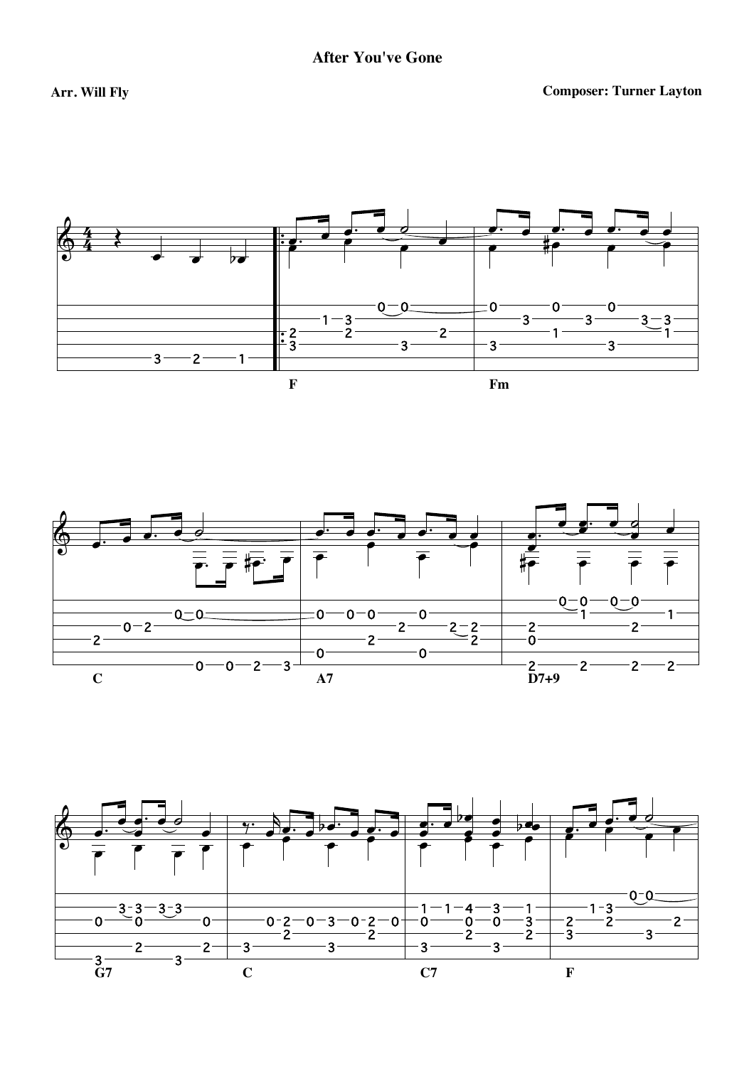